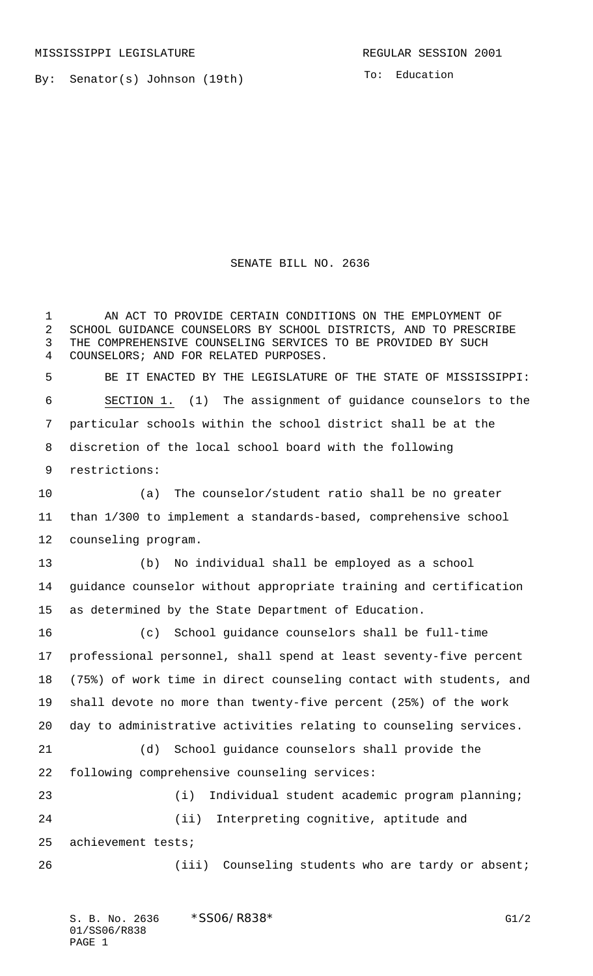By: Senator(s) Johnson (19th)

To: Education

SENATE BILL NO. 2636

 AN ACT TO PROVIDE CERTAIN CONDITIONS ON THE EMPLOYMENT OF SCHOOL GUIDANCE COUNSELORS BY SCHOOL DISTRICTS, AND TO PRESCRIBE THE COMPREHENSIVE COUNSELING SERVICES TO BE PROVIDED BY SUCH COUNSELORS; AND FOR RELATED PURPOSES. BE IT ENACTED BY THE LEGISLATURE OF THE STATE OF MISSISSIPPI: SECTION 1. (1) The assignment of guidance counselors to the particular schools within the school district shall be at the discretion of the local school board with the following restrictions: (a) The counselor/student ratio shall be no greater than 1/300 to implement a standards-based, comprehensive school counseling program. (b) No individual shall be employed as a school guidance counselor without appropriate training and certification as determined by the State Department of Education. (c) School guidance counselors shall be full-time professional personnel, shall spend at least seventy-five percent (75%) of work time in direct counseling contact with students, and shall devote no more than twenty-five percent (25%) of the work day to administrative activities relating to counseling services. (d) School guidance counselors shall provide the following comprehensive counseling services: (i) Individual student academic program planning; (ii) Interpreting cognitive, aptitude and achievement tests; (iii) Counseling students who are tardy or absent;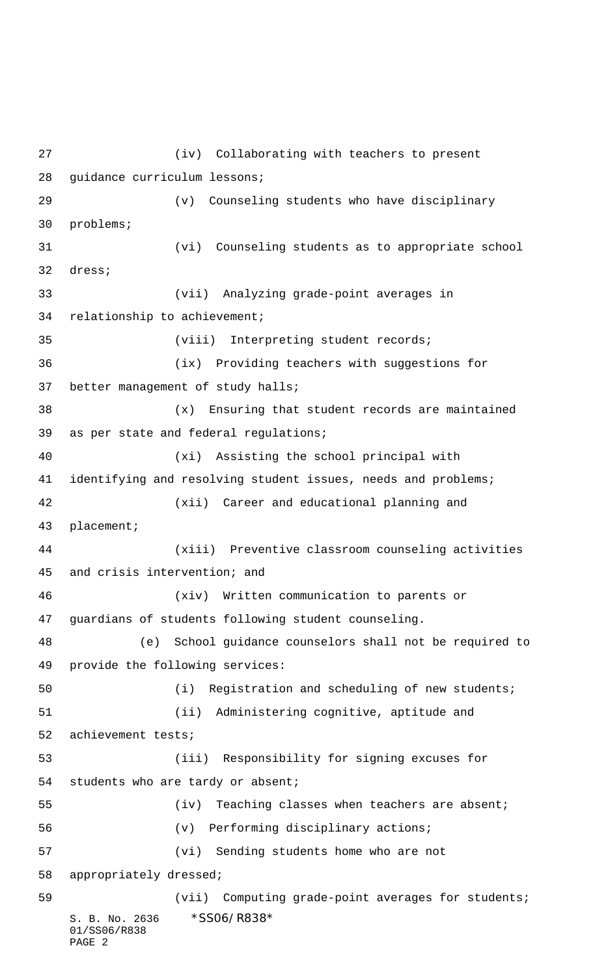S. B. No. 2636 \*SS06/R838\* 01/SS06/R838 PAGE 2 (iv) Collaborating with teachers to present guidance curriculum lessons; (v) Counseling students who have disciplinary problems; (vi) Counseling students as to appropriate school dress; (vii) Analyzing grade-point averages in relationship to achievement; 35 (viii) Interpreting student records; (ix) Providing teachers with suggestions for better management of study halls; (x) Ensuring that student records are maintained as per state and federal regulations; (xi) Assisting the school principal with 41 identifying and resolving student issues, needs and problems; (xii) Career and educational planning and placement; (xiii) Preventive classroom counseling activities and crisis intervention; and (xiv) Written communication to parents or guardians of students following student counseling. (e) School guidance counselors shall not be required to provide the following services: (i) Registration and scheduling of new students; (ii) Administering cognitive, aptitude and achievement tests; (iii) Responsibility for signing excuses for students who are tardy or absent; 55 (iv) Teaching classes when teachers are absent; (v) Performing disciplinary actions; (vi) Sending students home who are not appropriately dressed; (vii) Computing grade-point averages for students;